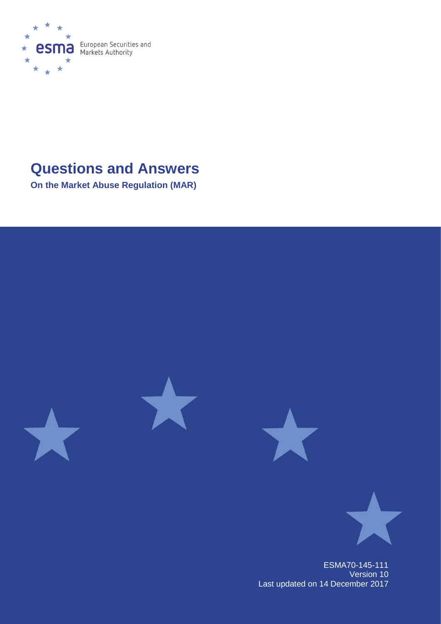

# **Questions and Answers**

**On the Market Abuse Regulation (MAR)**



ESMA70-145-111 Version 10 Last updated on 14 December 2017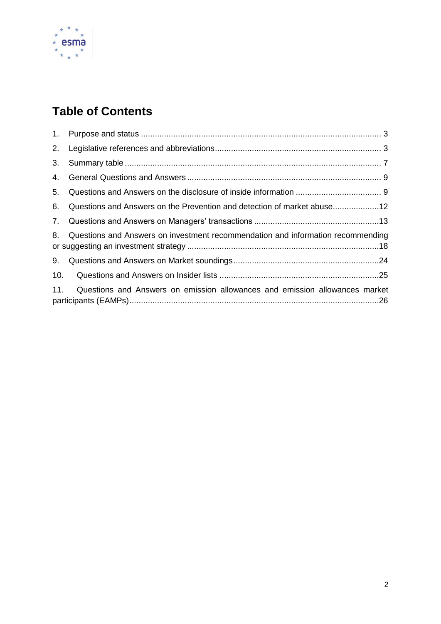

# **Table of Contents**

| 1.  |                                                                                 |
|-----|---------------------------------------------------------------------------------|
| 2.  |                                                                                 |
| 3.  |                                                                                 |
| 4.  |                                                                                 |
| 5.  |                                                                                 |
| 6.  | Questions and Answers on the Prevention and detection of market abuse           |
| 7.  |                                                                                 |
| 8.  | Questions and Answers on investment recommendation and information recommending |
| 9.  |                                                                                 |
| 10. |                                                                                 |
| 11. | Questions and Answers on emission allowances and emission allowances market     |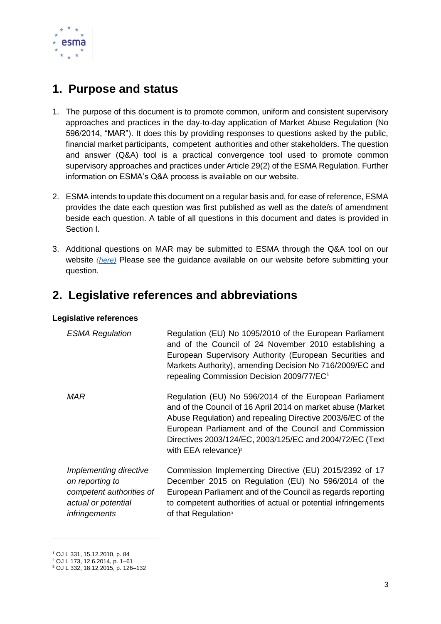

## <span id="page-2-0"></span>**1. Purpose and status**

- 1. The purpose of this document is to promote common, uniform and consistent supervisory approaches and practices in the day-to-day application of Market Abuse Regulation (No 596/2014, "MAR"). It does this by providing responses to questions asked by the public, financial market participants, competent authorities and other stakeholders. The question and answer (Q&A) tool is a practical convergence tool used to promote common supervisory approaches and practices under Article 29(2) of the ESMA Regulation. Further information on ESMA's Q&A process is available on our website.
- 2. ESMA intends to update this document on a regular basis and, for ease of reference, ESMA provides the date each question was first published as well as the date/s of amendment beside each question. A table of all questions in this document and dates is provided in Section I.
- 3. Additional questions on MAR may be submitted to ESMA through the Q&A tool on our website *([here\)](https://www.esma.europa.eu/questions-and-answers)* Please see the guidance available on our website before submitting your question.

### <span id="page-2-1"></span>**2. Legislative references and abbreviations**

### **Legislative references**

| <b>ESMA Regulation</b>                                                                                        | Regulation (EU) No 1095/2010 of the European Parliament<br>and of the Council of 24 November 2010 establishing a<br>European Supervisory Authority (European Securities and<br>Markets Authority), amending Decision No 716/2009/EC and<br>repealing Commission Decision 2009/77/EC <sup>1</sup>                                             |
|---------------------------------------------------------------------------------------------------------------|----------------------------------------------------------------------------------------------------------------------------------------------------------------------------------------------------------------------------------------------------------------------------------------------------------------------------------------------|
| MAR                                                                                                           | Regulation (EU) No 596/2014 of the European Parliament<br>and of the Council of 16 April 2014 on market abuse (Market<br>Abuse Regulation) and repealing Directive 2003/6/EC of the<br>European Parliament and of the Council and Commission<br>Directives 2003/124/EC, 2003/125/EC and 2004/72/EC (Text<br>with EEA relevance) <sup>2</sup> |
| Implementing directive<br>on reporting to<br>competent authorities of<br>actual or potential<br>infringements | Commission Implementing Directive (EU) 2015/2392 of 17<br>December 2015 on Regulation (EU) No 596/2014 of the<br>European Parliament and of the Council as regards reporting<br>to competent authorities of actual or potential infringements<br>of that Regulation <sup>3</sup>                                                             |

1

<sup>1</sup> OJ L 331, 15.12.2010, p. 84

<sup>2</sup> OJ L 173, 12.6.2014, p. 1–61

<sup>3</sup> OJ L 332, 18.12.2015, p. 126–132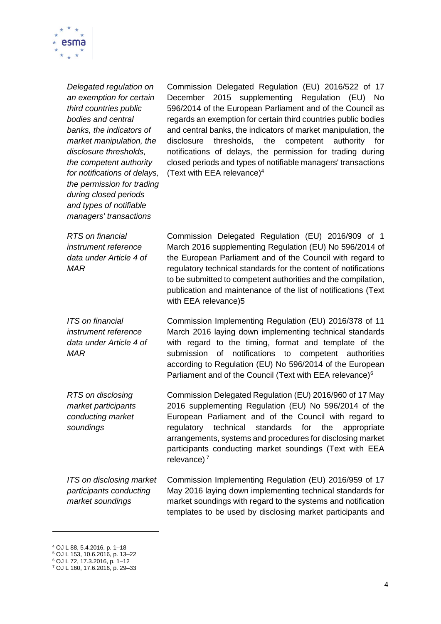

*Delegated regulation on an exemption for certain third countries public bodies and central banks, the indicators of market manipulation, the disclosure thresholds, the competent authority for notifications of delays, the permission for trading during closed periods and types of notifiable managers' transactions*

Commission Delegated Regulation (EU) 2016/522 of 17 December 2015 supplementing Regulation (EU) No 596/2014 of the European Parliament and of the Council as regards an exemption for certain third countries public bodies and central banks, the indicators of market manipulation, the disclosure thresholds, the competent authority for notifications of delays, the permission for trading during closed periods and types of notifiable managers' transactions (Text with EEA relevance)<sup>4</sup>

*RTS on financial instrument reference data under Article 4 of MAR*

*MAR*

*ITS on financial instrument reference data under Article 4 of* 

Commission Delegated Regulation (EU) 2016/909 of 1 March 2016 supplementing Regulation (EU) No 596/2014 of the European Parliament and of the Council with regard to regulatory technical standards for the content of notifications to be submitted to competent authorities and the compilation, publication and maintenance of the list of notifications (Text with EEA relevance)5

Commission Implementing Regulation (EU) 2016/378 of 11 March 2016 laying down implementing technical standards with regard to the timing, format and template of the submission of notifications to competent authorities according to Regulation (EU) No 596/2014 of the European Parliament and of the Council (Text with EEA relevance)<sup>6</sup>

*RTS on disclosing market participants conducting market soundings* Commission Delegated Regulation (EU) 2016/960 of 17 May 2016 supplementing Regulation (EU) No 596/2014 of the European Parliament and of the Council with regard to regulatory technical standards for the appropriate arrangements, systems and procedures for disclosing market participants conducting market soundings (Text with EEA relevance) $<sup>7</sup>$ </sup>

*ITS on disclosing market participants conducting market soundings*  Commission Implementing Regulation (EU) 2016/959 of 17 May 2016 laying down implementing technical standards for market soundings with regard to the systems and notification templates to be used by disclosing market participants and

 $\overline{a}$ 

<sup>4</sup> OJ L 88, 5.4.2016, p. 1–18

<sup>5</sup> OJ L 153, 10.6.2016, p. 13–22

<sup>6</sup> OJ L 72, 17.3.2016, p. 1–12

<sup>7</sup> OJ L 160, 17.6.2016, p. 29–33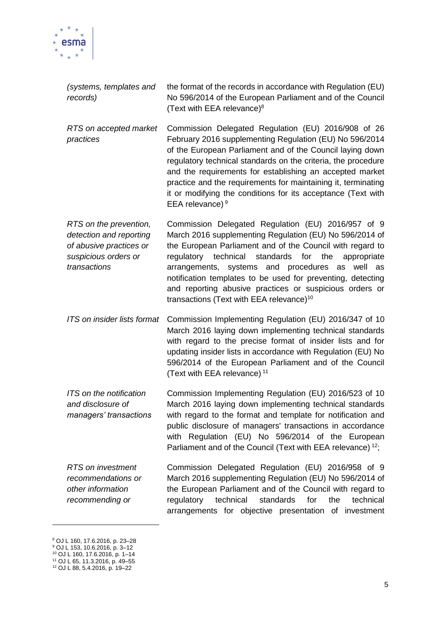

| (systems, templates and<br>records)                                                                                  | the format of the records in accordance with Regulation (EU)<br>No 596/2014 of the European Parliament and of the Council<br>(Text with EEA relevance) <sup>8</sup>                                                                                                                                                                                                                                                                                                      |
|----------------------------------------------------------------------------------------------------------------------|--------------------------------------------------------------------------------------------------------------------------------------------------------------------------------------------------------------------------------------------------------------------------------------------------------------------------------------------------------------------------------------------------------------------------------------------------------------------------|
| RTS on accepted market<br>practices                                                                                  | Commission Delegated Regulation (EU) 2016/908 of 26<br>February 2016 supplementing Regulation (EU) No 596/2014<br>of the European Parliament and of the Council laying down<br>regulatory technical standards on the criteria, the procedure<br>and the requirements for establishing an accepted market<br>practice and the requirements for maintaining it, terminating<br>it or modifying the conditions for its acceptance (Text with<br>EEA relevance) <sup>9</sup> |
| RTS on the prevention,<br>detection and reporting<br>of abusive practices or<br>suspicious orders or<br>transactions | Commission Delegated Regulation (EU) 2016/957 of 9<br>March 2016 supplementing Regulation (EU) No 596/2014 of<br>the European Parliament and of the Council with regard to<br>regulatory technical standards for the<br>appropriate<br>arrangements, systems and procedures as well as<br>notification templates to be used for preventing, detecting<br>and reporting abusive practices or suspicious orders or<br>transactions (Text with EEA relevance) <sup>10</sup> |
| ITS on insider lists format                                                                                          | Commission Implementing Regulation (EU) 2016/347 of 10<br>March 2016 laying down implementing technical standards<br>with regard to the precise format of insider lists and for<br>updating insider lists in accordance with Regulation (EU) No<br>596/2014 of the European Parliament and of the Council                                                                                                                                                                |

*ITS on the notification and disclosure of managers' transactions* Commission Implementing Regulation (EU) 2016/523 of 10 March 2016 laying down implementing technical standards with regard to the format and template for notification and public disclosure of managers' transactions in accordance with Regulation (EU) No 596/2014 of the European Parliament and of the Council (Text with EEA relevance)<sup>12</sup>;

(Text with EEA relevance) <sup>11</sup>

*RTS on investment recommendations or other information recommending or*  Commission Delegated Regulation (EU) 2016/958 of 9 March 2016 supplementing Regulation (EU) No 596/2014 of the European Parliament and of the Council with regard to regulatory technical standards for the technical arrangements for objective presentation of investment

1

<sup>8</sup> OJ L 160, 17.6.2016, p. 23–28

<sup>9</sup> OJ L 153, 10.6.2016, p. 3–12

<sup>10</sup> OJ L 160, 17.6.2016, p. 1–14

<sup>11</sup> OJ L 65, 11.3.2016, p. 49–55 <sup>12</sup> OJ L 88, 5.4.2016, p. 19–22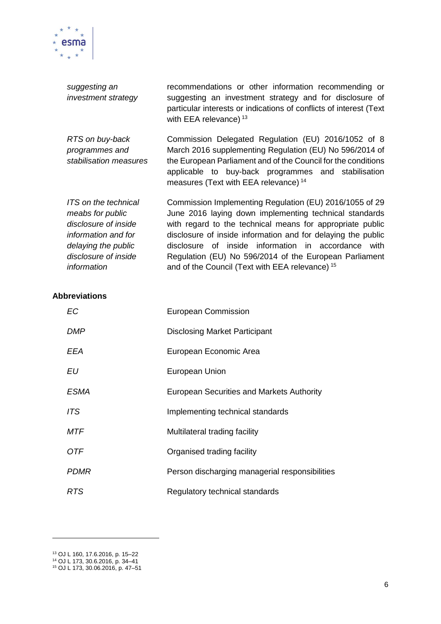

| suggesting an<br>investment strategy                                                                                                                  | recommendations or other information recommending or<br>suggesting an investment strategy and for disclosure of<br>particular interests or indications of conflicts of interest (Text<br>with EEA relevance) $13$                                                                                                                                                                                                             |
|-------------------------------------------------------------------------------------------------------------------------------------------------------|-------------------------------------------------------------------------------------------------------------------------------------------------------------------------------------------------------------------------------------------------------------------------------------------------------------------------------------------------------------------------------------------------------------------------------|
| RTS on buy-back<br>programmes and<br>stabilisation measures                                                                                           | Commission Delegated Regulation (EU) 2016/1052 of 8<br>March 2016 supplementing Regulation (EU) No 596/2014 of<br>the European Parliament and of the Council for the conditions<br>applicable to buy-back programmes and stabilisation<br>measures (Text with EEA relevance) <sup>14</sup>                                                                                                                                    |
| ITS on the technical<br>meabs for public<br>disclosure of inside<br>information and for<br>delaying the public<br>disclosure of inside<br>information | Commission Implementing Regulation (EU) 2016/1055 of 29<br>June 2016 laying down implementing technical standards<br>with regard to the technical means for appropriate public<br>disclosure of inside information and for delaying the public<br>disclosure of inside information in accordance with<br>Regulation (EU) No 596/2014 of the European Parliament<br>and of the Council (Text with EEA relevance) <sup>15</sup> |

### **Abbreviations**

| <b>EC</b>   | <b>European Commission</b>                       |
|-------------|--------------------------------------------------|
| <b>DMP</b>  | <b>Disclosing Market Participant</b>             |
| <b>EEA</b>  | European Economic Area                           |
| EU          | European Union                                   |
| <i>ESMA</i> | <b>European Securities and Markets Authority</b> |
| ITS         | Implementing technical standards                 |
| <b>MTF</b>  | Multilateral trading facility                    |
| <b>OTF</b>  | Organised trading facility                       |
| <b>PDMR</b> | Person discharging managerial responsibilities   |
| <b>RTS</b>  | Regulatory technical standards                   |

 $\overline{\phantom{0}}$ 

1

<sup>13</sup> OJ L 160, 17.6.2016, p. 15–22

<sup>14</sup> OJ L 173, 30.6.2016, p. 34–41

<sup>15</sup> OJ L 173, 30.06.2016, p. 47–51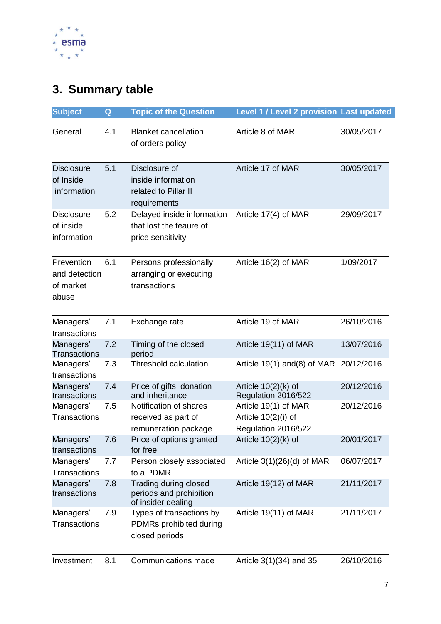

# <span id="page-6-0"></span>**3. Summary table**

| <b>Subject</b>                                    | Q   | <b>Topic of the Question</b>                                                | <b>Level 1 / Level 2 provision Last updated</b>                      |            |
|---------------------------------------------------|-----|-----------------------------------------------------------------------------|----------------------------------------------------------------------|------------|
| General                                           | 4.1 | <b>Blanket cancellation</b><br>of orders policy                             | Article 8 of MAR                                                     | 30/05/2017 |
| <b>Disclosure</b><br>of Inside<br>information     | 5.1 | Disclosure of<br>inside information<br>related to Pillar II<br>requirements | Article 17 of MAR                                                    | 30/05/2017 |
| <b>Disclosure</b><br>of inside<br>information     | 5.2 | Delayed inside information<br>that lost the feaure of<br>price sensitivity  | Article 17(4) of MAR                                                 | 29/09/2017 |
| Prevention<br>and detection<br>of market<br>abuse | 6.1 | Persons professionally<br>arranging or executing<br>transactions            | Article 16(2) of MAR                                                 | 1/09/2017  |
| Managers'<br>transactions                         | 7.1 | Exchange rate                                                               | Article 19 of MAR                                                    | 26/10/2016 |
| Managers'<br><b>Transactions</b>                  | 7.2 | Timing of the closed<br>period                                              | Article 19(11) of MAR                                                | 13/07/2016 |
| Managers'<br>transactions                         | 7.3 | <b>Threshold calculation</b>                                                | Article 19(1) and(8) of MAR 20/12/2016                               |            |
| Managers'<br>transactions                         | 7.4 | Price of gifts, donation<br>and inheritance                                 | Article $10(2)$ (k) of<br>Regulation 2016/522                        | 20/12/2016 |
| Managers'<br><b>Transactions</b>                  | 7.5 | Notification of shares<br>received as part of<br>remuneration package       | Article 19(1) of MAR<br>Article $10(2)(i)$ of<br>Regulation 2016/522 | 20/12/2016 |
| Managers'<br>transactions                         | 7.6 | Price of options granted<br>for free                                        | Article $10(2)(k)$ of                                                | 20/01/2017 |
| Managers'<br><b>Transactions</b>                  | 7.7 | Person closely associated<br>to a PDMR                                      | Article $3(1)(26)(d)$ of MAR                                         | 06/07/2017 |
| Managers'<br>transactions                         | 7.8 | Trading during closed<br>periods and prohibition<br>of insider dealing      | Article 19(12) of MAR                                                | 21/11/2017 |
| Managers'<br><b>Transactions</b>                  | 7.9 | Types of transactions by<br>PDMRs prohibited during<br>closed periods       | Article 19(11) of MAR                                                | 21/11/2017 |
| Investment                                        | 8.1 | Communications made                                                         | Article $3(1)(34)$ and 35                                            | 26/10/2016 |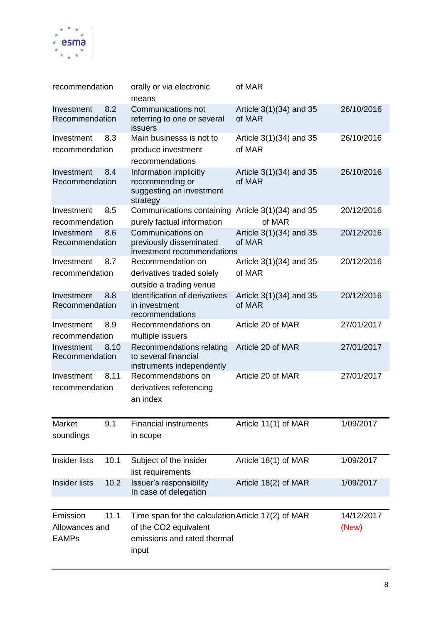

| recommendation                                     | orally or via electronic<br>means                                                                                   | of MAR                              |                     |
|----------------------------------------------------|---------------------------------------------------------------------------------------------------------------------|-------------------------------------|---------------------|
| Investment<br>8.2<br>Recommendation                | <b>Communications not</b><br>referring to one or several<br><b>issuers</b>                                          | Article 3(1)(34) and 35<br>of MAR   | 26/10/2016          |
| 8.3<br>Investment                                  | Main businesss is not to                                                                                            | Article $3(1)(34)$ and 35           | 26/10/2016          |
| recommendation                                     | produce investment<br>recommendations                                                                               | of MAR                              |                     |
| Investment<br>8.4<br>Recommendation                | Information implicitly<br>recommending or<br>suggesting an investment<br>strategy                                   | Article $3(1)(34)$ and 35<br>of MAR | 26/10/2016          |
| Investment<br>8.5                                  | Communications containing                                                                                           | Article $3(1)(34)$ and 35           | 20/12/2016          |
| recommendation                                     | purely factual information                                                                                          | of MAR                              |                     |
| Investment<br>8.6<br>Recommendation                | Communications on<br>previously disseminated<br>investment recommendations                                          | Article 3(1)(34) and 35<br>of MAR   | 20/12/2016          |
| 8.7<br>Investment                                  | Recommendation on                                                                                                   | Article 3(1)(34) and 35             | 20/12/2016          |
| recommendation                                     | derivatives traded solely<br>outside a trading venue                                                                | of MAR                              |                     |
| Investment<br>8.8<br>Recommendation                | <b>Identification of derivatives</b><br>in investment<br>recommendations                                            | Article 3(1)(34) and 35<br>of MAR   | 20/12/2016          |
| 8.9<br>Investment<br>recommendation                | Recommendations on<br>multiple issuers                                                                              | Article 20 of MAR                   | 27/01/2017          |
| 8.10<br>Investment<br>Recommendation               | Recommendations relating<br>to several financial<br>instruments independently                                       | Article 20 of MAR                   | 27/01/2017          |
| Investment<br>8.11<br>recommendation               | Recommendations on<br>derivatives referencing<br>an index                                                           | Article 20 of MAR                   | 27/01/2017          |
| 9.1<br>Market<br>soundings                         | <b>Financial instruments</b><br>in scope                                                                            | Article 11(1) of MAR                | 1/09/2017           |
| <b>Insider lists</b><br>10.1                       | Subject of the insider<br>list requirements                                                                         | Article 18(1) of MAR                | 1/09/2017           |
| <b>Insider lists</b><br>10.2                       | Issuer's responsibility<br>In case of delegation                                                                    | Article 18(2) of MAR                | 1/09/2017           |
| 11.1<br>Emission<br>Allowances and<br><b>EAMPs</b> | Time span for the calculation Article 17(2) of MAR<br>of the CO2 equivalent<br>emissions and rated thermal<br>input |                                     | 14/12/2017<br>(New) |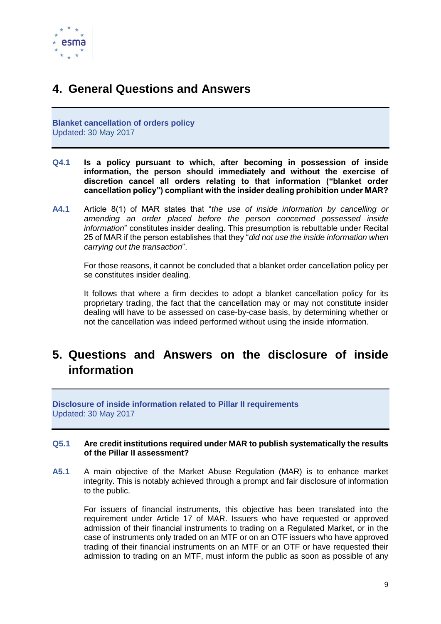

## <span id="page-8-0"></span>**4. General Questions and Answers**

**Blanket cancellation of orders policy** Updated: 30 May 2017

- **Q4.1 Is a policy pursuant to which, after becoming in possession of inside information, the person should immediately and without the exercise of discretion cancel all orders relating to that information ("blanket order cancellation policy") compliant with the insider dealing prohibition under MAR?**
- **A4.1** Article 8(1) of MAR states that "*the use of inside information by cancelling or amending an order placed before the person concerned possessed inside information*" constitutes insider dealing. This presumption is rebuttable under Recital 25 of MAR if the person establishes that they "*did not use the inside information when carrying out the transaction*".

For those reasons, it cannot be concluded that a blanket order cancellation policy per se constitutes insider dealing.

It follows that where a firm decides to adopt a blanket cancellation policy for its proprietary trading, the fact that the cancellation may or may not constitute insider dealing will have to be assessed on case-by-case basis, by determining whether or not the cancellation was indeed performed without using the inside information.

# <span id="page-8-1"></span>**5. Questions and Answers on the disclosure of inside information**

**Disclosure of inside information related to Pillar II requirements** Updated: 30 May 2017

### **Q5.1 Are credit institutions required under MAR to publish systematically the results of the Pillar II assessment?**

**A5.1** A main objective of the Market Abuse Regulation (MAR) is to enhance market integrity. This is notably achieved through a prompt and fair disclosure of information to the public.

For issuers of financial instruments, this objective has been translated into the requirement under Article 17 of MAR. Issuers who have requested or approved admission of their financial instruments to trading on a Regulated Market, or in the case of instruments only traded on an MTF or on an OTF issuers who have approved trading of their financial instruments on an MTF or an OTF or have requested their admission to trading on an MTF, must inform the public as soon as possible of any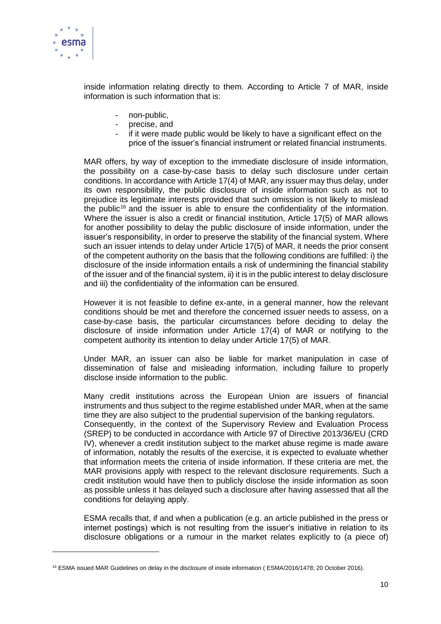

1

inside information relating directly to them. According to Article 7 of MAR, inside information is such information that is:

- non-public,
- precise, and
- if it were made public would be likely to have a significant effect on the price of the issuer's financial instrument or related financial instruments.

MAR offers, by way of exception to the immediate disclosure of inside information, the possibility on a case-by-case basis to delay such disclosure under certain conditions. In accordance with Article 17(4) of MAR, any issuer may thus delay, under its own responsibility, the public disclosure of inside information such as not to prejudice its legitimate interests provided that such omission is not likely to mislead the public<sup>16</sup> and the issuer is able to ensure the confidentiality of the information. Where the issuer is also a credit or financial institution, Article 17(5) of MAR allows for another possibility to delay the public disclosure of inside information, under the issuer's responsibility, in order to preserve the stability of the financial system. Where such an issuer intends to delay under Article 17(5) of MAR, it needs the prior consent of the competent authority on the basis that the following conditions are fulfilled: i) the disclosure of the inside information entails a risk of undermining the financial stability of the issuer and of the financial system, ii) it is in the public interest to delay disclosure and iii) the confidentiality of the information can be ensured.

However it is not feasible to define ex-ante, in a general manner, how the relevant conditions should be met and therefore the concerned issuer needs to assess, on a case-by-case basis, the particular circumstances before deciding to delay the disclosure of inside information under Article 17(4) of MAR or notifying to the competent authority its intention to delay under Article 17(5) of MAR.

Under MAR, an issuer can also be liable for market manipulation in case of dissemination of false and misleading information, including failure to properly disclose inside information to the public.

Many credit institutions across the European Union are issuers of financial instruments and thus subject to the regime established under MAR, when at the same time they are also subject to the prudential supervision of the banking regulators.

Consequently, in the context of the Supervisory Review and Evaluation Process (SREP) to be conducted in accordance with Article 97 of Directive 2013/36/EU (CRD IV), whenever a credit institution subject to the market abuse regime is made aware of information, notably the results of the exercise, it is expected to evaluate whether that information meets the criteria of inside information. If these criteria are met, the MAR provisions apply with respect to the relevant disclosure requirements. Such a credit institution would have then to publicly disclose the inside information as soon as possible unless it has delayed such a disclosure after having assessed that all the conditions for delaying apply.

ESMA recalls that, if and when a publication (e.g. an article published in the press or internet postings) which is not resulting from the issuer's initiative in relation to its disclosure obligations or a rumour in the market relates explicitly to (a piece of)

<sup>&</sup>lt;sup>16</sup> ESMA issued MAR Guidelines on delay in the disclosure of inside information (ESMA/2016/1478; 20 October 2016).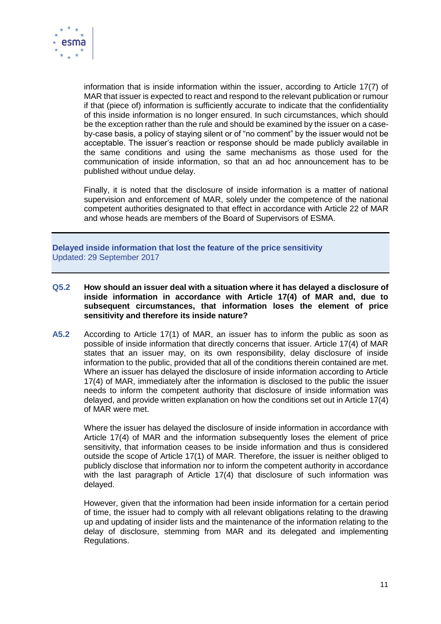

information that is inside information within the issuer, according to Article 17(7) of MAR that issuer is expected to react and respond to the relevant publication or rumour if that (piece of) information is sufficiently accurate to indicate that the confidentiality of this inside information is no longer ensured. In such circumstances, which should be the exception rather than the rule and should be examined by the issuer on a caseby-case basis, a policy of staying silent or of "no comment" by the issuer would not be acceptable. The issuer's reaction or response should be made publicly available in the same conditions and using the same mechanisms as those used for the communication of inside information, so that an ad hoc announcement has to be published without undue delay.

Finally, it is noted that the disclosure of inside information is a matter of national supervision and enforcement of MAR, solely under the competence of the national competent authorities designated to that effect in accordance with Article 22 of MAR and whose heads are members of the Board of Supervisors of ESMA.

**Delayed inside information that lost the feature of the price sensitivity** Updated: 29 September 2017

- **Q5.2 How should an issuer deal with a situation where it has delayed a disclosure of inside information in accordance with Article 17(4) of MAR and, due to subsequent circumstances, that information loses the element of price sensitivity and therefore its inside nature?**
- **A5.2** According to Article 17(1) of MAR, an issuer has to inform the public as soon as possible of inside information that directly concerns that issuer. Article 17(4) of MAR states that an issuer may, on its own responsibility, delay disclosure of inside information to the public, provided that all of the conditions therein contained are met. Where an issuer has delayed the disclosure of inside information according to Article 17(4) of MAR, immediately after the information is disclosed to the public the issuer needs to inform the competent authority that disclosure of inside information was delayed, and provide written explanation on how the conditions set out in Article 17(4) of MAR were met.

Where the issuer has delayed the disclosure of inside information in accordance with Article 17(4) of MAR and the information subsequently loses the element of price sensitivity, that information ceases to be inside information and thus is considered outside the scope of Article 17(1) of MAR. Therefore, the issuer is neither obliged to publicly disclose that information nor to inform the competent authority in accordance with the last paragraph of Article 17(4) that disclosure of such information was delayed.

However, given that the information had been inside information for a certain period of time, the issuer had to comply with all relevant obligations relating to the drawing up and updating of insider lists and the maintenance of the information relating to the delay of disclosure, stemming from MAR and its delegated and implementing Regulations.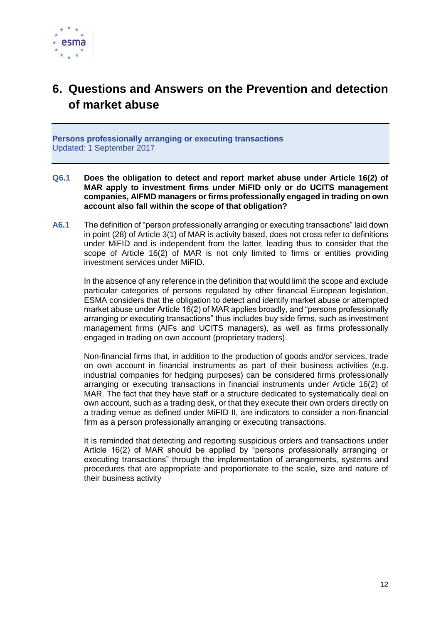

# <span id="page-11-0"></span>**6. Questions and Answers on the Prevention and detection of market abuse**

**Persons professionally arranging or executing transactions** Updated: 1 September 2017

- **Q6.1 Does the obligation to detect and report market abuse under Article 16(2) of MAR apply to investment firms under MiFID only or do UCITS management companies, AIFMD managers or firms professionally engaged in trading on own account also fall within the scope of that obligation?**
- **A6.1** The definition of "person professionally arranging or executing transactions" laid down in point (28) of Article 3(1) of MAR is activity based, does not cross refer to definitions under MiFID and is independent from the latter, leading thus to consider that the scope of Article 16(2) of MAR is not only limited to firms or entities providing investment services under MiFID.

In the absence of any reference in the definition that would limit the scope and exclude particular categories of persons regulated by other financial European legislation, ESMA considers that the obligation to detect and identify market abuse or attempted market abuse under Article 16(2) of MAR applies broadly, and "persons professionally arranging or executing transactions" thus includes buy side firms, such as investment management firms (AIFs and UCITS managers), as well as firms professionally engaged in trading on own account (proprietary traders).

Non-financial firms that, in addition to the production of goods and/or services, trade on own account in financial instruments as part of their business activities (e.g. industrial companies for hedging purposes) can be considered firms professionally arranging or executing transactions in financial instruments under Article 16(2) of MAR. The fact that they have staff or a structure dedicated to systematically deal on own account, such as a trading desk, or that they execute their own orders directly on a trading venue as defined under MiFID II, are indicators to consider a non-financial firm as a person professionally arranging or executing transactions.

It is reminded that detecting and reporting suspicious orders and transactions under Article 16(2) of MAR should be applied by "persons professionally arranging or executing transactions" through the implementation of arrangements, systems and procedures that are appropriate and proportionate to the scale, size and nature of their business activity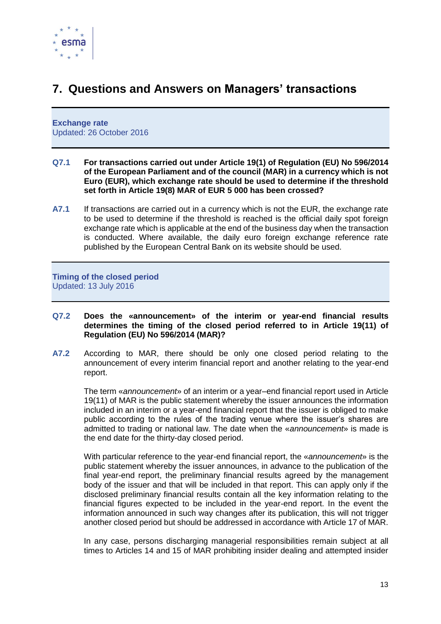

# <span id="page-12-0"></span>**7. Questions and Answers on Managers' transactions**

**Exchange rate** Updated: 26 October 2016

- **Q7.1 For transactions carried out under Article 19(1) of Regulation (EU) No 596/2014 of the European Parliament and of the council (MAR) in a currency which is not Euro (EUR), which exchange rate should be used to determine if the threshold set forth in Article 19(8) MAR of EUR 5 000 has been crossed?**
- **A7.1** If transactions are carried out in a currency which is not the EUR, the exchange rate to be used to determine if the threshold is reached is the official daily spot foreign exchange rate which is applicable at the end of the business day when the transaction is conducted. Where available, the daily euro foreign exchange reference rate published by the European Central Bank on its website should be used.

**Timing of the closed period** Updated: 13 July 2016

- **Q7.2 Does the «announcement» of the interim or year-end financial results determines the timing of the closed period referred to in Article 19(11) of Regulation (EU) No 596/2014 (MAR)?**
- **A7.2** According to MAR, there should be only one closed period relating to the announcement of every interim financial report and another relating to the year-end report.

The term «*announcement*» of an interim or a year–end financial report used in Article 19(11) of MAR is the public statement whereby the issuer announces the information included in an interim or a year-end financial report that the issuer is obliged to make public according to the rules of the trading venue where the issuer's shares are admitted to trading or national law. The date when the «*announcement*» is made is the end date for the thirty-day closed period.

With particular reference to the year-end financial report, the «*announcement*» is the public statement whereby the issuer announces, in advance to the publication of the final year-end report, the preliminary financial results agreed by the management body of the issuer and that will be included in that report. This can apply only if the disclosed preliminary financial results contain all the key information relating to the financial figures expected to be included in the year-end report. In the event the information announced in such way changes after its publication, this will not trigger another closed period but should be addressed in accordance with Article 17 of MAR.

In any case, persons discharging managerial responsibilities remain subject at all times to Articles 14 and 15 of MAR prohibiting insider dealing and attempted insider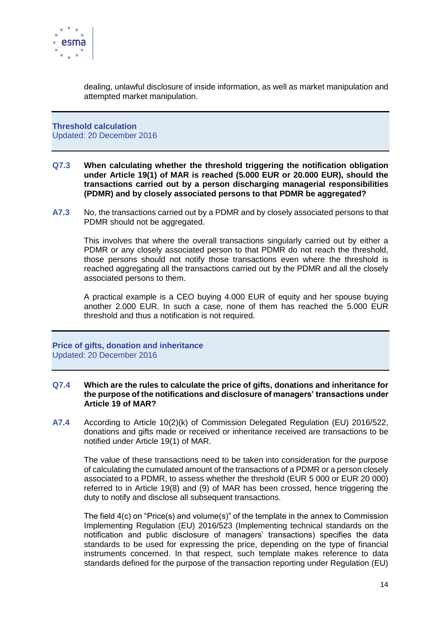

dealing, unlawful disclosure of inside information, as well as market manipulation and attempted market manipulation.

**Threshold calculation** Updated: 20 December 2016

- **Q7.3 When calculating whether the threshold triggering the notification obligation under Article 19(1) of MAR is reached (5.000 EUR or 20.000 EUR), should the transactions carried out by a person discharging managerial responsibilities (PDMR) and by closely associated persons to that PDMR be aggregated?**
- **A7.3** No, the transactions carried out by a PDMR and by closely associated persons to that PDMR should not be aggregated.

This involves that where the overall transactions singularly carried out by either a PDMR or any closely associated person to that PDMR do not reach the threshold, those persons should not notify those transactions even where the threshold is reached aggregating all the transactions carried out by the PDMR and all the closely associated persons to them.

A practical example is a CEO buying 4.000 EUR of equity and her spouse buying another 2.000 EUR. In such a case, none of them has reached the 5.000 EUR threshold and thus a notification is not required.

**Price of gifts, donation and inheritance** Updated: 20 December 2016

### **Q7.4 Which are the rules to calculate the price of gifts, donations and inheritance for the purpose of the notifications and disclosure of managers' transactions under Article 19 of MAR?**

**A7.4** According to Article 10(2)(k) of Commission Delegated Regulation (EU) 2016/522, donations and gifts made or received or inheritance received are transactions to be notified under Article 19(1) of MAR.

The value of these transactions need to be taken into consideration for the purpose of calculating the cumulated amount of the transactions of a PDMR or a person closely associated to a PDMR, to assess whether the threshold (EUR 5 000 or EUR 20 000) referred to in Article 19(8) and (9) of MAR has been crossed, hence triggering the duty to notify and disclose all subsequent transactions.

The field 4(c) on "Price(s) and volume(s)" of the template in the annex to Commission Implementing Regulation (EU) 2016/523 (Implementing technical standards on the notification and public disclosure of managers' transactions) specifies the data standards to be used for expressing the price, depending on the type of financial instruments concerned. In that respect, such template makes reference to data standards defined for the purpose of the transaction reporting under Regulation (EU)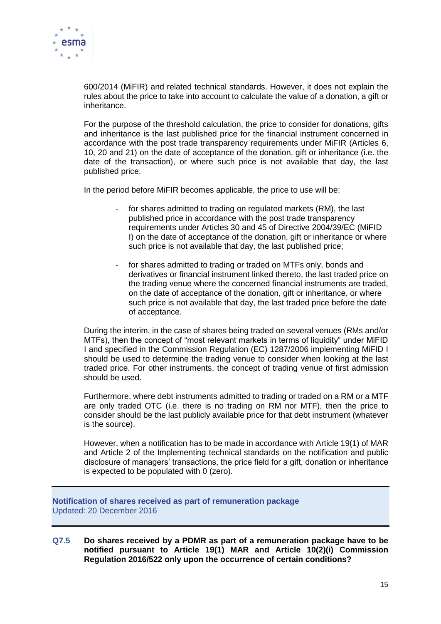

600/2014 (MiFIR) and related technical standards. However, it does not explain the rules about the price to take into account to calculate the value of a donation, a gift or inheritance.

For the purpose of the threshold calculation, the price to consider for donations, gifts and inheritance is the last published price for the financial instrument concerned in accordance with the post trade transparency requirements under MiFIR (Articles 6, 10, 20 and 21) on the date of acceptance of the donation, gift or inheritance (i.e. the date of the transaction), or where such price is not available that day, the last published price.

In the period before MiFIR becomes applicable, the price to use will be:

- for shares admitted to trading on regulated markets (RM), the last published price in accordance with the post trade transparency requirements under Articles 30 and 45 of Directive 2004/39/EC (MiFID I) on the date of acceptance of the donation, gift or inheritance or where such price is not available that day, the last published price;
- for shares admitted to trading or traded on MTFs only, bonds and derivatives or financial instrument linked thereto, the last traded price on the trading venue where the concerned financial instruments are traded, on the date of acceptance of the donation, gift or inheritance, or where such price is not available that day, the last traded price before the date of acceptance.

During the interim, in the case of shares being traded on several venues (RMs and/or MTFs), then the concept of "most relevant markets in terms of liquidity" under MiFID I and specified in the Commission Regulation (EC) 1287/2006 implementing MiFID I should be used to determine the trading venue to consider when looking at the last traded price. For other instruments, the concept of trading venue of first admission should be used.

Furthermore, where debt instruments admitted to trading or traded on a RM or a MTF are only traded OTC (i.e. there is no trading on RM nor MTF), then the price to consider should be the last publicly available price for that debt instrument (whatever is the source).

However, when a notification has to be made in accordance with Article 19(1) of MAR and Article 2 of the Implementing technical standards on the notification and public disclosure of managers' transactions, the price field for a gift, donation or inheritance is expected to be populated with 0 (zero).

**Notification of shares received as part of remuneration package** Updated: 20 December 2016

**Q7.5 Do shares received by a PDMR as part of a remuneration package have to be notified pursuant to Article 19(1) MAR and Article 10(2)(i) Commission Regulation 2016/522 only upon the occurrence of certain conditions?**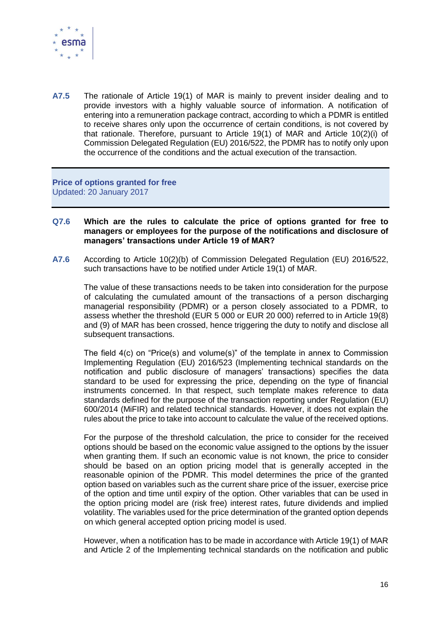

**A7.5** The rationale of Article 19(1) of MAR is mainly to prevent insider dealing and to provide investors with a highly valuable source of information. A notification of entering into a remuneration package contract, according to which a PDMR is entitled to receive shares only upon the occurrence of certain conditions, is not covered by that rationale. Therefore, pursuant to Article 19(1) of MAR and Article 10(2)(i) of Commission Delegated Regulation (EU) 2016/522, the PDMR has to notify only upon the occurrence of the conditions and the actual execution of the transaction.

**Price of options granted for free** Updated: 20 January 2017

- **Q7.6 Which are the rules to calculate the price of options granted for free to managers or employees for the purpose of the notifications and disclosure of managers' transactions under Article 19 of MAR?**
- **A7.6** According to Article 10(2)(b) of Commission Delegated Regulation (EU) 2016/522, such transactions have to be notified under Article 19(1) of MAR.

The value of these transactions needs to be taken into consideration for the purpose of calculating the cumulated amount of the transactions of a person discharging managerial responsibility (PDMR) or a person closely associated to a PDMR, to assess whether the threshold (EUR 5 000 or EUR 20 000) referred to in Article 19(8) and (9) of MAR has been crossed, hence triggering the duty to notify and disclose all subsequent transactions.

The field 4(c) on "Price(s) and volume(s)" of the template in annex to Commission Implementing Regulation (EU) 2016/523 (Implementing technical standards on the notification and public disclosure of managers' transactions) specifies the data standard to be used for expressing the price, depending on the type of financial instruments concerned. In that respect, such template makes reference to data standards defined for the purpose of the transaction reporting under Regulation (EU) 600/2014 (MiFIR) and related technical standards. However, it does not explain the rules about the price to take into account to calculate the value of the received options.

For the purpose of the threshold calculation, the price to consider for the received options should be based on the economic value assigned to the options by the issuer when granting them. If such an economic value is not known, the price to consider should be based on an option pricing model that is generally accepted in the reasonable opinion of the PDMR. This model determines the price of the granted option based on variables such as the current share price of the issuer, exercise price of the option and time until expiry of the option. Other variables that can be used in the option pricing model are (risk free) interest rates, future dividends and implied volatility. The variables used for the price determination of the granted option depends on which general accepted option pricing model is used.

However, when a notification has to be made in accordance with Article 19(1) of MAR and Article 2 of the Implementing technical standards on the notification and public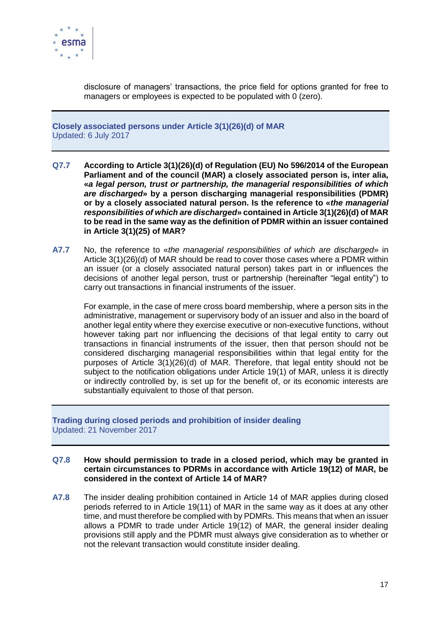

disclosure of managers' transactions, the price field for options granted for free to managers or employees is expected to be populated with 0 (zero).

**Closely associated persons under Article 3(1)(26)(d) of MAR**  Updated: 6 July 2017

- **Q7.7 According to Article 3(1)(26)(d) of Regulation (EU) No 596/2014 of the European Parliament and of the council (MAR) a closely associated person is, inter alia, «***a legal person, trust or partnership, the managerial responsibilities of which are discharged***» by a person discharging managerial responsibilities (PDMR) or by a closely associated natural person. Is the reference to «***the managerial responsibilities of which are discharged***» contained in Article 3(1)(26)(d) of MAR to be read in the same way as the definition of PDMR within an issuer contained in Article 3(1)(25) of MAR?**
- **A7.7** No, the reference to «*the managerial responsibilities of which are discharged*» in Article 3(1)(26)(d) of MAR should be read to cover those cases where a PDMR within an issuer (or a closely associated natural person) takes part in or influences the decisions of another legal person, trust or partnership (hereinafter "legal entity") to carry out transactions in financial instruments of the issuer.

For example, in the case of mere cross board membership, where a person sits in the administrative, management or supervisory body of an issuer and also in the board of another legal entity where they exercise executive or non-executive functions, without however taking part nor influencing the decisions of that legal entity to carry out transactions in financial instruments of the issuer, then that person should not be considered discharging managerial responsibilities within that legal entity for the purposes of Article 3(1)(26)(d) of MAR. Therefore, that legal entity should not be subject to the notification obligations under Article 19(1) of MAR, unless it is directly or indirectly controlled by, is set up for the benefit of, or its economic interests are substantially equivalent to those of that person.

**Trading during closed periods and prohibition of insider dealing** Updated: 21 November 2017

### **Q7.8 How should permission to trade in a closed period, which may be granted in certain circumstances to PDRMs in accordance with Article 19(12) of MAR, be considered in the context of Article 14 of MAR?**

**A7.8** The insider dealing prohibition contained in Article 14 of MAR applies during closed periods referred to in Article 19(11) of MAR in the same way as it does at any other time, and must therefore be complied with by PDMRs. This means that when an issuer allows a PDMR to trade under Article 19(12) of MAR, the general insider dealing provisions still apply and the PDMR must always give consideration as to whether or not the relevant transaction would constitute insider dealing.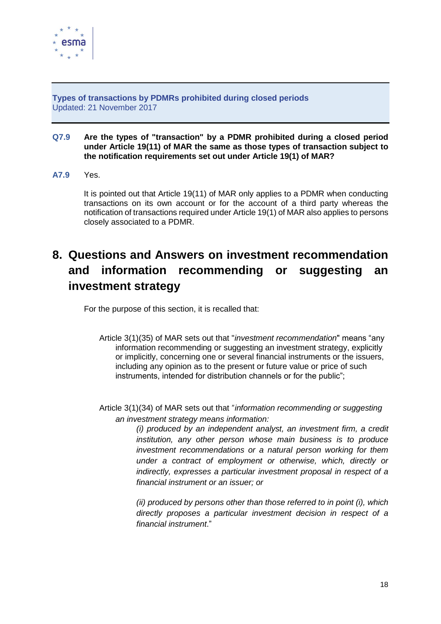

**Types of transactions by PDMRs prohibited during closed periods**  Updated: 21 November 2017

### **Q7.9 Are the types of "transaction" by a PDMR prohibited during a closed period under Article 19(11) of MAR the same as those types of transaction subject to the notification requirements set out under Article 19(1) of MAR?**

**A7.9** Yes.

It is pointed out that Article 19(11) of MAR only applies to a PDMR when conducting transactions on its own account or for the account of a third party whereas the notification of transactions required under Article 19(1) of MAR also applies to persons closely associated to a PDMR.

# <span id="page-17-0"></span>**8. Questions and Answers on investment recommendation and information recommending or suggesting an investment strategy**

For the purpose of this section, it is recalled that:

- Article 3(1)(35) of MAR sets out that "*investment recommendation*" means "any information recommending or suggesting an investment strategy, explicitly or implicitly, concerning one or several financial instruments or the issuers, including any opinion as to the present or future value or price of such instruments, intended for distribution channels or for the public";
- Article 3(1)(34) of MAR sets out that "*information recommending or suggesting an investment strategy means information:*

*(i) produced by an independent analyst, an investment firm, a credit institution, any other person whose main business is to produce investment recommendations or a natural person working for them under a contract of employment or otherwise, which, directly or indirectly, expresses a particular investment proposal in respect of a financial instrument or an issuer; or* 

*(ii) produced by persons other than those referred to in point (i), which directly proposes a particular investment decision in respect of a financial instrument*."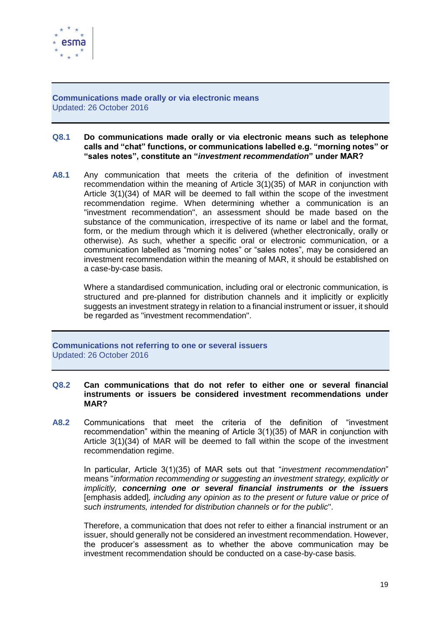

**Communications made orally or via electronic means** Updated: 26 October 2016

### **Q8.1 Do communications made orally or via electronic means such as telephone calls and "chat" functions, or communications labelled e.g. "morning notes" or "sales notes", constitute an "***investment recommendation***" under MAR?**

**A8.1** Any communication that meets the criteria of the definition of investment recommendation within the meaning of Article 3(1)(35) of MAR in conjunction with Article 3(1)(34) of MAR will be deemed to fall within the scope of the investment recommendation regime. When determining whether a communication is an "investment recommendation", an assessment should be made based on the substance of the communication, irrespective of its name or label and the format, form, or the medium through which it is delivered (whether electronically, orally or otherwise). As such, whether a specific oral or electronic communication, or a communication labelled as "morning notes" or "sales notes", may be considered an investment recommendation within the meaning of MAR, it should be established on a case-by-case basis.

Where a standardised communication, including oral or electronic communication, is structured and pre-planned for distribution channels and it implicitly or explicitly suggests an investment strategy in relation to a financial instrument or issuer, it should be regarded as "investment recommendation".

**Communications not referring to one or several issuers** Updated: 26 October 2016

### **Q8.2 Can communications that do not refer to either one or several financial instruments or issuers be considered investment recommendations under MAR?**

**A8.2** Communications that meet the criteria of the definition of "investment recommendation" within the meaning of Article 3(1)(35) of MAR in conjunction with Article 3(1)(34) of MAR will be deemed to fall within the scope of the investment recommendation regime.

In particular, Article 3(1)(35) of MAR sets out that "*investment recommendation*" means "*information recommending or suggesting an investment strategy, explicitly or implicitly, concerning one or several financial instruments or the issuers* [emphasis added]*, including any opinion as to the present or future value or price of such instruments, intended for distribution channels or for the public*".

Therefore, a communication that does not refer to either a financial instrument or an issuer, should generally not be considered an investment recommendation. However, the producer's assessment as to whether the above communication may be investment recommendation should be conducted on a case-by-case basis.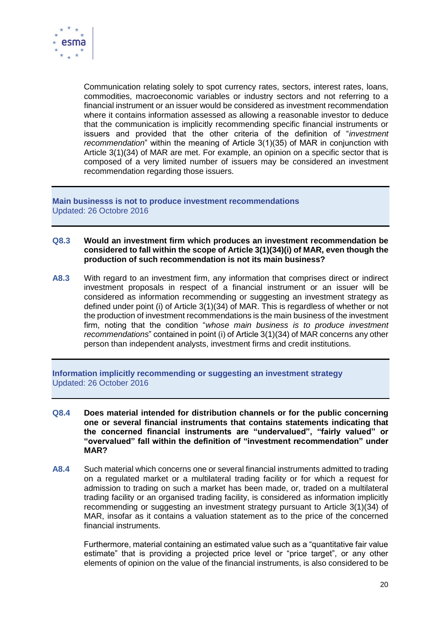

Communication relating solely to spot currency rates, sectors, interest rates, loans, commodities, macroeconomic variables or industry sectors and not referring to a financial instrument or an issuer would be considered as investment recommendation where it contains information assessed as allowing a reasonable investor to deduce that the communication is implicitly recommending specific financial instruments or issuers and provided that the other criteria of the definition of "*investment recommendation*" within the meaning of Article 3(1)(35) of MAR in conjunction with Article 3(1)(34) of MAR are met. For example, an opinion on a specific sector that is composed of a very limited number of issuers may be considered an investment recommendation regarding those issuers.

**Main businesss is not to produce investment recommendations** Updated: 26 Octobre 2016

- **Q8.3 Would an investment firm which produces an investment recommendation be considered to fall within the scope of Article 3(1)(34)(i) of MAR, even though the production of such recommendation is not its main business?**
- **A8.3** With regard to an investment firm, any information that comprises direct or indirect investment proposals in respect of a financial instrument or an issuer will be considered as information recommending or suggesting an investment strategy as defined under point (i) of Article 3(1)(34) of MAR. This is regardless of whether or not the production of investment recommendations is the main business of the investment firm, noting that the condition "*whose main business is to produce investment recommendations*" contained in point (i) of Article 3(1)(34) of MAR concerns any other person than independent analysts, investment firms and credit institutions.

**Information implicitly recommending or suggesting an investment strategy** Updated: 26 October 2016

- **Q8.4 Does material intended for distribution channels or for the public concerning one or several financial instruments that contains statements indicating that the concerned financial instruments are "undervalued", "fairly valued" or "overvalued" fall within the definition of "investment recommendation" under MAR?**
- **A8.4** Such material which concerns one or several financial instruments admitted to trading on a regulated market or a multilateral trading facility or for which a request for admission to trading on such a market has been made, or, traded on a multilateral trading facility or an organised trading facility, is considered as information implicitly recommending or suggesting an investment strategy pursuant to Article 3(1)(34) of MAR, insofar as it contains a valuation statement as to the price of the concerned financial instruments.

Furthermore, material containing an estimated value such as a "quantitative fair value estimate" that is providing a projected price level or "price target", or any other elements of opinion on the value of the financial instruments, is also considered to be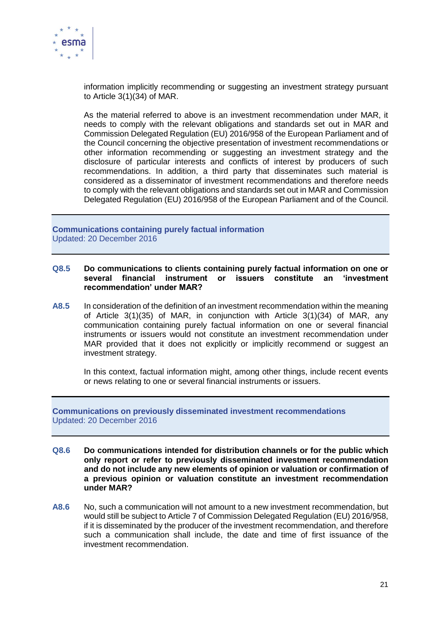

information implicitly recommending or suggesting an investment strategy pursuant to Article 3(1)(34) of MAR.

As the material referred to above is an investment recommendation under MAR, it needs to comply with the relevant obligations and standards set out in MAR and Commission Delegated Regulation (EU) 2016/958 of the European Parliament and of the Council concerning the objective presentation of investment recommendations or other information recommending or suggesting an investment strategy and the disclosure of particular interests and conflicts of interest by producers of such recommendations. In addition, a third party that disseminates such material is considered as a disseminator of investment recommendations and therefore needs to comply with the relevant obligations and standards set out in MAR and Commission Delegated Regulation (EU) 2016/958 of the European Parliament and of the Council.

**Communications containing purely factual information** Updated: 20 December 2016

### **Q8.5 Do communications to clients containing purely factual information on one or several financial instrument or issuers constitute an 'investment recommendation' under MAR?**

**A8.5** In consideration of the definition of an investment recommendation within the meaning of Article 3(1)(35) of MAR, in conjunction with Article 3(1)(34) of MAR, any communication containing purely factual information on one or several financial instruments or issuers would not constitute an investment recommendation under MAR provided that it does not explicitly or implicitly recommend or suggest an investment strategy.

In this context, factual information might, among other things, include recent events or news relating to one or several financial instruments or issuers.

### **Communications on previously disseminated investment recommendations** Updated: 20 December 2016

- **Q8.6 Do communications intended for distribution channels or for the public which only report or refer to previously disseminated investment recommendation and do not include any new elements of opinion or valuation or confirmation of a previous opinion or valuation constitute an investment recommendation under MAR?**
- **A8.6** No, such a communication will not amount to a new investment recommendation, but would still be subject to Article 7 of Commission Delegated Regulation (EU) 2016/958, if it is disseminated by the producer of the investment recommendation, and therefore such a communication shall include, the date and time of first issuance of the investment recommendation.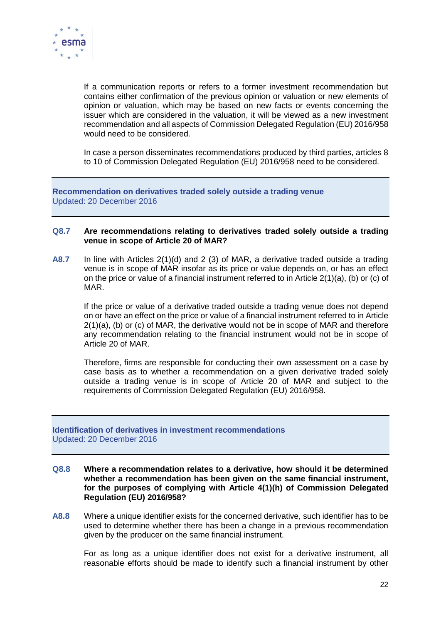

If a communication reports or refers to a former investment recommendation but contains either confirmation of the previous opinion or valuation or new elements of opinion or valuation, which may be based on new facts or events concerning the issuer which are considered in the valuation, it will be viewed as a new investment recommendation and all aspects of Commission Delegated Regulation (EU) 2016/958 would need to be considered.

In case a person disseminates recommendations produced by third parties, articles 8 to 10 of Commission Delegated Regulation (EU) 2016/958 need to be considered.

**Recommendation on derivatives traded solely outside a trading venue** Updated: 20 December 2016

### **Q8.7 Are recommendations relating to derivatives traded solely outside a trading venue in scope of Article 20 of MAR?**

**A8.7** In line with Articles 2(1)(d) and 2 (3) of MAR, a derivative traded outside a trading venue is in scope of MAR insofar as its price or value depends on, or has an effect on the price or value of a financial instrument referred to in Article  $2(1)(a)$ , (b) or (c) of MAR.

If the price or value of a derivative traded outside a trading venue does not depend on or have an effect on the price or value of a financial instrument referred to in Article 2(1)(a), (b) or (c) of MAR, the derivative would not be in scope of MAR and therefore any recommendation relating to the financial instrument would not be in scope of Article 20 of MAR.

Therefore, firms are responsible for conducting their own assessment on a case by case basis as to whether a recommendation on a given derivative traded solely outside a trading venue is in scope of Article 20 of MAR and subject to the requirements of Commission Delegated Regulation (EU) 2016/958.

### **Identification of derivatives in investment recommendations** Updated: 20 December 2016

- **Q8.8 Where a recommendation relates to a derivative, how should it be determined whether a recommendation has been given on the same financial instrument, for the purposes of complying with Article 4(1)(h) of Commission Delegated Regulation (EU) 2016/958?**
- **A8.8** Where a unique identifier exists for the concerned derivative, such identifier has to be used to determine whether there has been a change in a previous recommendation given by the producer on the same financial instrument.

For as long as a unique identifier does not exist for a derivative instrument, all reasonable efforts should be made to identify such a financial instrument by other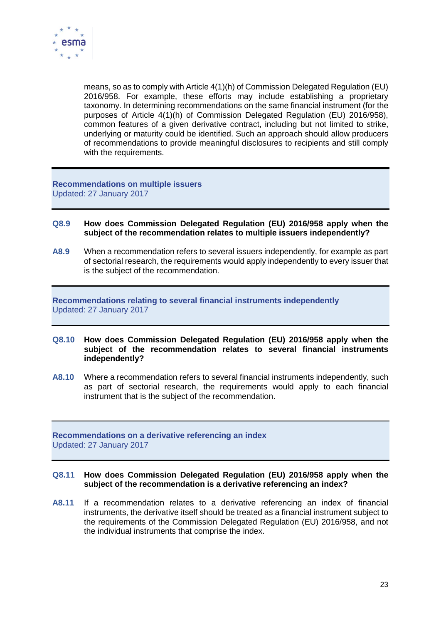

means, so as to comply with Article 4(1)(h) of Commission Delegated Regulation (EU) 2016/958. For example, these efforts may include establishing a proprietary taxonomy. In determining recommendations on the same financial instrument (for the purposes of Article 4(1)(h) of Commission Delegated Regulation (EU) 2016/958), common features of a given derivative contract, including but not limited to strike, underlying or maturity could be identified. Such an approach should allow producers of recommendations to provide meaningful disclosures to recipients and still comply with the requirements.

**Recommendations on multiple issuers** Updated: 27 January 2017

- **Q8.9 How does Commission Delegated Regulation (EU) 2016/958 apply when the subject of the recommendation relates to multiple issuers independently?**
- **A8.9** When a recommendation refers to several issuers independently, for example as part of sectorial research, the requirements would apply independently to every issuer that is the subject of the recommendation.

**Recommendations relating to several financial instruments independently** Updated: 27 January 2017

- **Q8.10 How does Commission Delegated Regulation (EU) 2016/958 apply when the subject of the recommendation relates to several financial instruments independently?**
- **A8.10** Where a recommendation refers to several financial instruments independently, such as part of sectorial research, the requirements would apply to each financial instrument that is the subject of the recommendation.

**Recommendations on a derivative referencing an index** Updated: 27 January 2017

### **Q8.11 How does Commission Delegated Regulation (EU) 2016/958 apply when the subject of the recommendation is a derivative referencing an index?**

**A8.11** If a recommendation relates to a derivative referencing an index of financial instruments, the derivative itself should be treated as a financial instrument subject to the requirements of the Commission Delegated Regulation (EU) 2016/958, and not the individual instruments that comprise the index.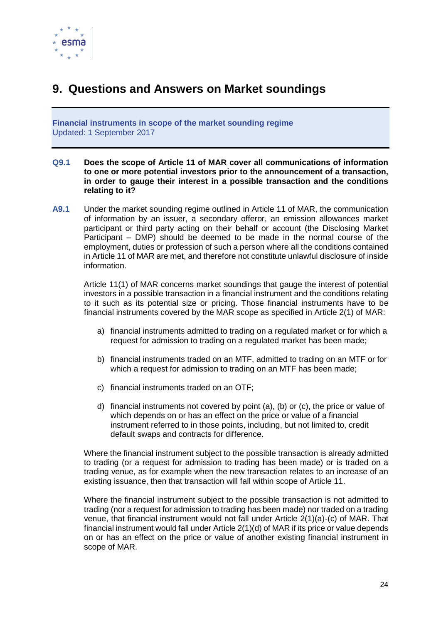

## <span id="page-23-0"></span>**9. Questions and Answers on Market soundings**

**Financial instruments in scope of the market sounding regime** Updated: 1 September 2017

- **Q9.1 Does the scope of Article 11 of MAR cover all communications of information to one or more potential investors prior to the announcement of a transaction, in order to gauge their interest in a possible transaction and the conditions relating to it?**
- **A9.1** Under the market sounding regime outlined in Article 11 of MAR, the communication of information by an issuer, a secondary offeror, an emission allowances market participant or third party acting on their behalf or account (the Disclosing Market Participant – DMP) should be deemed to be made in the normal course of the employment, duties or profession of such a person where all the conditions contained in Article 11 of MAR are met, and therefore not constitute unlawful disclosure of inside information.

Article 11(1) of MAR concerns market soundings that gauge the interest of potential investors in a possible transaction in a financial instrument and the conditions relating to it such as its potential size or pricing. Those financial instruments have to be financial instruments covered by the MAR scope as specified in Article 2(1) of MAR:

- a) financial instruments admitted to trading on a regulated market or for which a request for admission to trading on a regulated market has been made;
- b) financial instruments traded on an MTF, admitted to trading on an MTF or for which a request for admission to trading on an MTF has been made;
- c) financial instruments traded on an OTF;
- d) financial instruments not covered by point (a), (b) or (c), the price or value of which depends on or has an effect on the price or value of a financial instrument referred to in those points, including, but not limited to, credit default swaps and contracts for difference.

Where the financial instrument subject to the possible transaction is already admitted to trading (or a request for admission to trading has been made) or is traded on a trading venue, as for example when the new transaction relates to an increase of an existing issuance, then that transaction will fall within scope of Article 11.

Where the financial instrument subject to the possible transaction is not admitted to trading (nor a request for admission to trading has been made) nor traded on a trading venue, that financial instrument would not fall under Article 2(1)(a)-(c) of MAR. That financial instrument would fall under Article 2(1)(d) of MAR if its price or value depends on or has an effect on the price or value of another existing financial instrument in scope of MAR.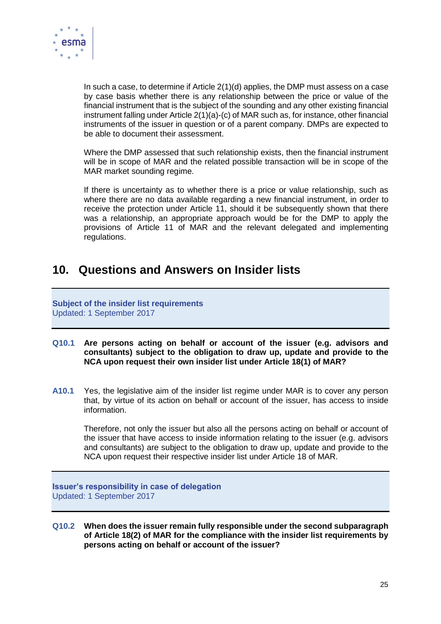

In such a case, to determine if Article 2(1)(d) applies, the DMP must assess on a case by case basis whether there is any relationship between the price or value of the financial instrument that is the subject of the sounding and any other existing financial instrument falling under Article 2(1)(a)-(c) of MAR such as, for instance, other financial instruments of the issuer in question or of a parent company. DMPs are expected to be able to document their assessment.

Where the DMP assessed that such relationship exists, then the financial instrument will be in scope of MAR and the related possible transaction will be in scope of the MAR market sounding regime.

If there is uncertainty as to whether there is a price or value relationship, such as where there are no data available regarding a new financial instrument, in order to receive the protection under Article 11, should it be subsequently shown that there was a relationship, an appropriate approach would be for the DMP to apply the provisions of Article 11 of MAR and the relevant delegated and implementing regulations.

### <span id="page-24-0"></span>**10. Questions and Answers on Insider lists**

### **Subject of the insider list requirements** Updated: 1 September 2017

- **Q10.1 Are persons acting on behalf or account of the issuer (e.g. advisors and consultants) subject to the obligation to draw up, update and provide to the NCA upon request their own insider list under Article 18(1) of MAR?**
- **A10.1** Yes, the legislative aim of the insider list regime under MAR is to cover any person that, by virtue of its action on behalf or account of the issuer, has access to inside information.

Therefore, not only the issuer but also all the persons acting on behalf or account of the issuer that have access to inside information relating to the issuer (e.g. advisors and consultants) are subject to the obligation to draw up, update and provide to the NCA upon request their respective insider list under Article 18 of MAR.

**Issuer's responsibility in case of delegation** Updated: 1 September 2017

**Q10.2 When does the issuer remain fully responsible under the second subparagraph of Article 18(2) of MAR for the compliance with the insider list requirements by persons acting on behalf or account of the issuer?**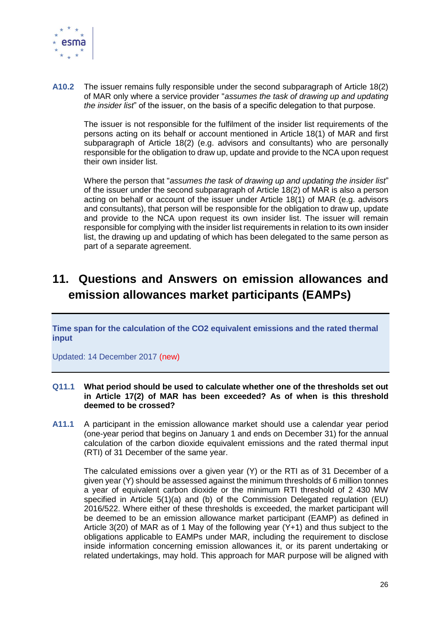

**A10.2** The issuer remains fully responsible under the second subparagraph of Article 18(2) of MAR only where a service provider "*assumes the task of drawing up and updating the insider list*" of the issuer, on the basis of a specific delegation to that purpose.

The issuer is not responsible for the fulfilment of the insider list requirements of the persons acting on its behalf or account mentioned in Article 18(1) of MAR and first subparagraph of Article 18(2) (e.g. advisors and consultants) who are personally responsible for the obligation to draw up, update and provide to the NCA upon request their own insider list.

Where the person that "*assumes the task of drawing up and updating the insider list*" of the issuer under the second subparagraph of Article 18(2) of MAR is also a person acting on behalf or account of the issuer under Article 18(1) of MAR (e.g. advisors and consultants), that person will be responsible for the obligation to draw up, update and provide to the NCA upon request its own insider list. The issuer will remain responsible for complying with the insider list requirements in relation to its own insider list, the drawing up and updating of which has been delegated to the same person as part of a separate agreement.

# <span id="page-25-0"></span>**11. Questions and Answers on emission allowances and emission allowances market participants (EAMPs)**

**Time span for the calculation of the CO2 equivalent emissions and the rated thermal input**

Updated: 14 December 2017 (new)

### **Q11.1 What period should be used to calculate whether one of the thresholds set out in Article 17(2) of MAR has been exceeded? As of when is this threshold deemed to be crossed?**

**A11.1** A participant in the emission allowance market should use a calendar year period (one-year period that begins on January 1 and ends on December 31) for the annual calculation of the carbon dioxide equivalent emissions and the rated thermal input (RTI) of 31 December of the same year.

The calculated emissions over a given year (Y) or the RTI as of 31 December of a given year (Y) should be assessed against the minimum thresholds of 6 million tonnes a year of equivalent carbon dioxide or the minimum RTI threshold of 2 430 MW specified in Article 5(1)(a) and (b) of the Commission Delegated regulation (EU) 2016/522. Where either of these thresholds is exceeded, the market participant will be deemed to be an emission allowance market participant (EAMP) as defined in Article 3(20) of MAR as of 1 May of the following year (Y+1) and thus subject to the obligations applicable to EAMPs under MAR, including the requirement to disclose inside information concerning emission allowances it, or its parent undertaking or related undertakings, may hold. This approach for MAR purpose will be aligned with